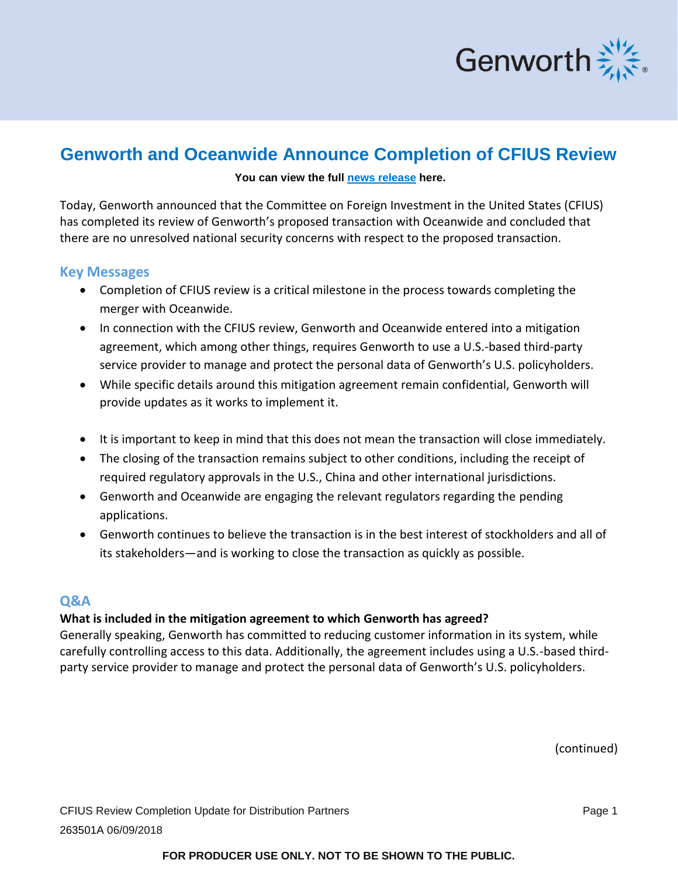

# **Genworth and Oceanwide Announce Completion of CFIUS Review**

#### **You can view the full [news release](http://investor.genworth.com/investors/news-releases/archive/archive/2018/Committee-on-Foreign-Investment-in-the-United-States-Completes-Review-of-Proposed-China-Oceanwide-and-Genworth-Financial-Transaction/default.aspx) here.**

Today, Genworth announced that the Committee on Foreign Investment in the United States (CFIUS) has completed its review of Genworth's proposed transaction with Oceanwide and concluded that there are no unresolved national security concerns with respect to the proposed transaction.

### **Key Messages**

- Completion of CFIUS review is a critical milestone in the process towards completing the merger with Oceanwide.
- In connection with the CFIUS review, Genworth and Oceanwide entered into a mitigation agreement, which among other things, requires Genworth to use a U.S.-based third-party service provider to manage and protect the personal data of Genworth's U.S. policyholders.
- While specific details around this mitigation agreement remain confidential, Genworth will provide updates as it works to implement it.
- It is important to keep in mind that this does not mean the transaction will close immediately.
- The closing of the transaction remains subject to other conditions, including the receipt of required regulatory approvals in the U.S., China and other international jurisdictions.
- Genworth and Oceanwide are engaging the relevant regulators regarding the pending applications.
- Genworth continues to believe the transaction is in the best interest of stockholders and all of its stakeholders—and is working to close the transaction as quickly as possible.

# **Q&A**

# **What is included in the mitigation agreement to which Genworth has agreed?**

Generally speaking, Genworth has committed to reducing customer information in its system, while carefully controlling access to this data. Additionally, the agreement includes using a U.S.-based thirdparty service provider to manage and protect the personal data of Genworth's U.S. policyholders.

(continued)

# **FOR PRODUCER USE ONLY. NOT TO BE SHOWN TO THE PUBLIC.**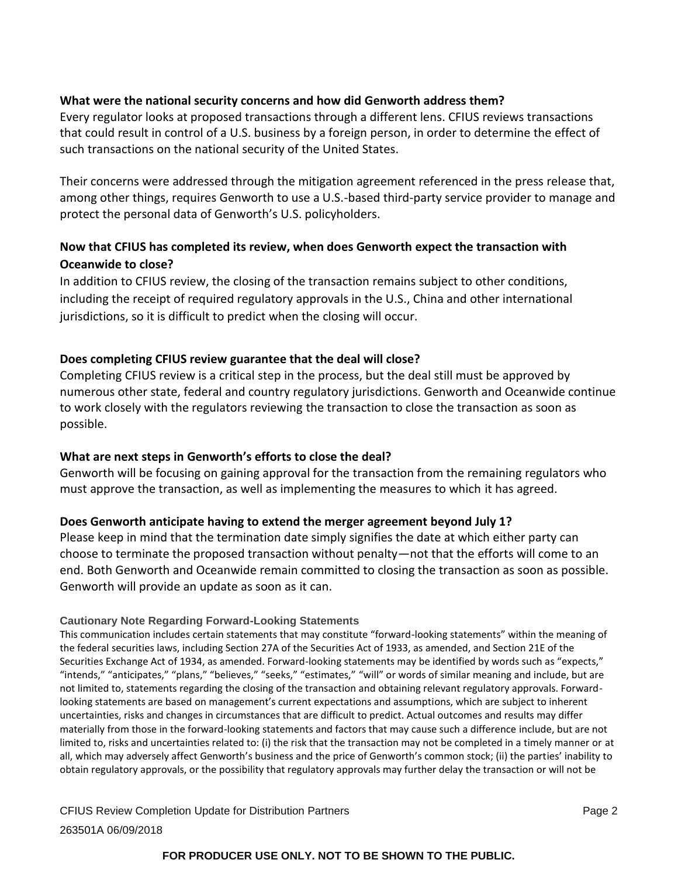### **What were the national security concerns and how did Genworth address them?**

Every regulator looks at proposed transactions through a different lens. CFIUS reviews transactions that could result in control of a U.S. business by a foreign person, in order to determine the effect of such transactions on the national security of the United States.

Their concerns were addressed through the mitigation agreement referenced in the press release that, among other things, requires Genworth to use a U.S.-based third-party service provider to manage and protect the personal data of Genworth's U.S. policyholders.

# **Now that CFIUS has completed its review, when does Genworth expect the transaction with Oceanwide to close?**

In addition to CFIUS review, the closing of the transaction remains subject to other conditions, including the receipt of required regulatory approvals in the U.S., China and other international jurisdictions, so it is difficult to predict when the closing will occur.

### **Does completing CFIUS review guarantee that the deal will close?**

Completing CFIUS review is a critical step in the process, but the deal still must be approved by numerous other state, federal and country regulatory jurisdictions. Genworth and Oceanwide continue to work closely with the regulators reviewing the transaction to close the transaction as soon as possible.

### **What are next steps in Genworth's efforts to close the deal?**

Genworth will be focusing on gaining approval for the transaction from the remaining regulators who must approve the transaction, as well as implementing the measures to which it has agreed.

# **Does Genworth anticipate having to extend the merger agreement beyond July 1?**

Please keep in mind that the termination date simply signifies the date at which either party can choose to terminate the proposed transaction without penalty—not that the efforts will come to an end. Both Genworth and Oceanwide remain committed to closing the transaction as soon as possible. Genworth will provide an update as soon as it can.

### **Cautionary Note Regarding Forward-Looking Statements**

This communication includes certain statements that may constitute "forward-looking statements" within the meaning of the federal securities laws, including Section 27A of the Securities Act of 1933, as amended, and Section 21E of the Securities Exchange Act of 1934, as amended. Forward-looking statements may be identified by words such as "expects," "intends," "anticipates," "plans," "believes," "seeks," "estimates," "will" or words of similar meaning and include, but are not limited to, statements regarding the closing of the transaction and obtaining relevant regulatory approvals. Forwardlooking statements are based on management's current expectations and assumptions, which are subject to inherent uncertainties, risks and changes in circumstances that are difficult to predict. Actual outcomes and results may differ materially from those in the forward-looking statements and factors that may cause such a difference include, but are not limited to, risks and uncertainties related to: (i) the risk that the transaction may not be completed in a timely manner or at all, which may adversely affect Genworth's business and the price of Genworth's common stock; (ii) the parties' inability to obtain regulatory approvals, or the possibility that regulatory approvals may further delay the transaction or will not be

CFIUS Review Completion Update for Distribution Partners **Page 2** and 2 263501A 06/09/2018

### **FOR PRODUCER USE ONLY. NOT TO BE SHOWN TO THE PUBLIC.**